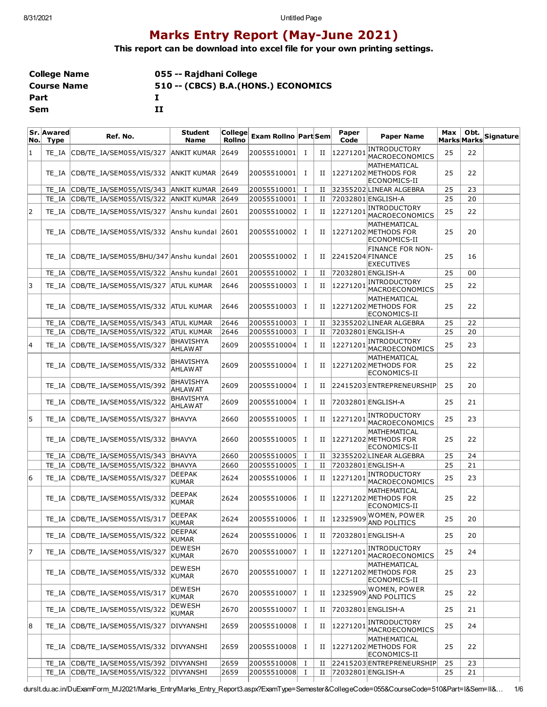## **Marks Entry Report (May-June 2021)**

**This report can be download into excel file for your own printing settings.**

| <b>College Name</b> | 055 -- Rajdhani College              |
|---------------------|--------------------------------------|
| <b>Course Name</b>  | 510 -- (CBCS) B.A. (HONS.) ECONOMICS |
| Part                |                                      |
| Sem                 | тт                                   |

| No.l | Sr. Awared<br><b>Type</b> | Ref. No.                                   | <b>Student</b><br><b>Name</b>       | College<br><b>Rollno</b> | <b>Exam Rollno Part Sem</b> |             |             | Paper<br>Code    | <b>Paper Name</b>                                           | Max<br><b>Marks Marks</b> | Obt. | Signature |
|------|---------------------------|--------------------------------------------|-------------------------------------|--------------------------|-----------------------------|-------------|-------------|------------------|-------------------------------------------------------------|---------------------------|------|-----------|
| 1    | TE IA                     | CDB/TE IA/SEM055/VIS/327                   | <b>ANKIT KUMAR</b>                  | 2649                     | 20055510001                 | 1           | П           |                  | 12271201 INTRODUCTORY<br>MACROECONOMICS                     | 25                        | 22   |           |
|      | TE IA                     | CDB/TE_IA/SEM055/VIS/332 ANKIT KUMAR 2649  |                                     |                          | 20055510001                 | 1           | П           |                  | <b>MATHEMATICAL</b><br>12271202 METHODS FOR<br>ECONOMICS-II | 25                        | 22   |           |
|      | TE IA                     | CDB/TE_IA/SEM055/VIS/343                   | <b>ANKIT KUMAR 2649</b>             |                          | 20055510001                 | $\mathbf I$ | П           |                  | 32355202 LINEAR ALGEBRA                                     | 25                        | 23   |           |
|      | TE IA                     | CDB/TE_IA/SEM055/VIS/322                   | ANKIT KUMAR 2649                    |                          | 20055510001                 | $\bf{I}$    | $_{\rm II}$ |                  | 72032801 ENGLISH-A                                          | 25                        | 20   |           |
| 2    | TE IA                     | CDB/TE_IA/SEM055/VIS/327                   | Anshu kundal 2601                   |                          | 20055510002                 | 1           | П           | 12271201         | INTRODUCTORY<br>MACROECONOMICS                              | 25                        | 22   |           |
|      | TE IA                     | CDB/TE_IA/SEM055/VIS/332 Anshu kundal 2601 |                                     |                          | 20055510002                 | 1           | П           |                  | MATHEMATICAL<br>12271202 METHODS FOR<br>ECONOMICS-II        | 25                        | 20   |           |
|      | TE IA                     | CDB/TE IA/SEM055/BHU/347 Anshu kundal 2601 |                                     |                          | 20055510002                 | Ι.          | П           | 22415204 FINANCE | <b>FINANCE FOR NON-</b><br><b>EXECUTIVES</b>                | 25                        | 16   |           |
|      | TE IA                     | CDB/TE_IA/SEM055/VIS/322 Anshu kundal 2601 |                                     |                          | 20055510002                 | $\bf{I}$    | П           |                  | 72032801 ENGLISH-A                                          | 25                        | 00   |           |
| 3    | TE IA                     | CDB/TE_IA/SEM055/VIS/327 ATUL KUMAR        |                                     | 2646                     | 20055510003                 | 1           | П           | 12271201         | <b>INTRODUCTORY</b><br>MACROECONOMICS                       | 25                        | 22   |           |
|      | TE IA                     | CDB/TE IA/SEM055/VIS/332 ATUL KUMAR        |                                     | 2646                     | 20055510003                 | 1           | П           |                  | MATHEMATICAL<br>12271202 METHODS FOR<br>ECONOMICS-II        | 25                        | 22   |           |
|      | TE IA                     | CDB/TE IA/SEM055/VIS/343                   | <b>ATUL KUMAR</b>                   | 2646                     | 20055510003                 | 1           | и           |                  | 32355202 LINEAR ALGEBRA                                     | 25                        | 22   |           |
|      | TE IA                     | CDB/TE_IA/SEM055/VIS/322                   | <b>ATUL KUMAR</b>                   | 2646                     | 20055510003                 | $\bf{I}$    | $_{\rm II}$ |                  | 72032801 ENGLISH-A                                          | 25                        | 20   |           |
| 14   | TE IA                     | CDB/TE_IA/SEM055/VIS/327                   | <b>BHAVISHYA</b><br><b>AHLAW AT</b> | 2609                     | 20055510004                 | <b>I</b>    | П           | 12271201         | INTRODUCTORY<br>MACROECONOMICS                              | 25                        | 23   |           |
|      | TE IA                     | CDB/TE_IA/SEM055/VIS/332                   | BHAVISHYA<br><b>AHLAW AT</b>        | 2609                     | 20055510004                 | Ι.          | П           |                  | MATHEMATICAL<br>12271202 METHODS FOR<br>ECONOMICS-II        | 25                        | 22   |           |
|      | TE IA                     | CDB/TE_IA/SEM055/VIS/392                   | <b>BHAVISHYA</b><br><b>AHLAW AT</b> | 2609                     | 20055510004                 | 1           | П           |                  | 22415203 ENTREPRENEURSHIP                                   | 25                        | 20   |           |
|      | TE IA                     | CDB/TE IA/SEM055/VIS/322                   | <b>BHAVISHYA</b><br><b>AHLAW AT</b> | 2609                     | 20055510004                 | 1           | П           |                  | 72032801 ENGLISH-A                                          | 25                        | 21   |           |
| 5    | TE IA                     | CDB/TE_IA/SEM055/VIS/327                   | BHAVYA                              | 2660                     | 20055510005                 | 1           | П           | 12271201         | <b>INTRODUCTORY</b><br>MACROECONOMICS                       | 25                        | 23   |           |
|      | TE IA                     | CDB/TE_IA/SEM055/VIS/332 BHAVYA            |                                     | 2660                     | 20055510005                 | 1           | H           |                  | MATHEMATICAL<br>12271202 METHODS FOR<br>ECONOMICS-II        | 25                        | 22   |           |
|      | TE IA                     | CDB/TE_IA/SEM055/VIS/343                   | <b>BHAVYA</b>                       | 2660                     | 20055510005                 | I           | П           |                  | 32355202LINEAR ALGEBRA                                      | 25                        | 24   |           |
|      | TE IA                     | CDB/TE_IA/SEM055/VIS/322                   | <b>BHAVYA</b>                       | 2660                     | 20055510005                 | Ι.          | П           |                  | 72032801 ENGLISH-A                                          | 25                        | 21   |           |
| 6    | TE IA                     | CDB/TE_IA/SEM055/VIS/327                   | <b>DEEPAK</b><br><b>KUMAR</b>       | 2624                     | 20055510006                 | 1           | П           | 12271201         | <b>INTRODUCTORY</b><br>MACROECONOMICS                       | 25                        | 23   |           |
|      | TE IA                     | CDB/TE_IA/SEM055/VIS/332                   | <b>DEEPAK</b><br><b>KUMAR</b>       | 2624                     | 20055510006                 | 1           | П           |                  | MATHEMATICAL<br>12271202 METHODS FOR<br>ECONOMICS-II        | 25                        | 22   |           |
|      |                           | TE_IA CDB/TE_IA/SEM055/VIS/317             | <b>DEEPAK</b><br><b>KUMAR</b>       | 2624                     | 20055510006                 | $\mathbf I$ |             | II 12325909      | WOMEN, POWER<br><b>AND POLITICS</b>                         | 25                        | 20   |           |
|      | TE IA                     | CDB/TE IA/SEM055/VIS/322                   | DEEPAK<br>KUMAR                     | 2624                     | 20055510006                 | Ι           | П           |                  | 72032801 ENGLISH-A                                          | 25                        | 20   |           |
| 17   | TE IA                     | CDB/TE IA/SEM055/VIS/327                   | <b>DEWESH</b><br>KUMAR              | 2670                     | 20055510007                 | 1           | П           | 12271201         | <b>INTRODUCTORY</b><br>MACROECONOMICS                       | 25                        | 24   |           |
|      | TE IA                     | CDB/TE_IA/SEM055/VIS/332                   | <b>DEWESH</b><br><b>KUMAR</b>       | 2670                     | 20055510007                 | Ι.          |             |                  | MATHEMATICAL<br>II 12271202 METHODS FOR<br>ECONOMICS-II     | 25                        | 23   |           |
|      | TE_IA                     | CDB/TE IA/SEM055/VIS/317                   | <b>DEWESH</b><br>KUMAR              | 2670                     | 20055510007                 | Ι.          | П           | 12325909         | WOMEN, POWER<br><b>AND POLITICS</b>                         | 25                        | 22   |           |
|      | TE_IA                     | CDB/TE_IA/SEM055/VIS/322                   | <b>DEWESH</b><br>KUMAR              | 2670                     | 20055510007                 | Ι.          | П           |                  | 72032801 ENGLISH-A                                          | 25                        | 21   |           |
| 8    | TE IA                     | CDB/TE_IA/SEM055/VIS/327                   | DIVYANSHI                           | 2659                     | 20055510008                 | $\bf{I}$    | П           | 12271201         | INTRODUCTORY<br>MACROECONOMICS                              | 25                        | 24   |           |
|      | TE IA                     | CDB/TE_IA/SEM055/VIS/332                   | <b>DIVYANSHI</b>                    | 2659                     | 20055510008                 | Ι.          | П           |                  | MATHEMATICAL<br>12271202 METHODS FOR<br>ECONOMICS-II        | 25                        | 22   |           |
|      | TE IA                     | CDB/TE_IA/SEM055/VIS/392 DIVYANSHI         |                                     | 2659                     | 20055510008                 | 1           | П           |                  | 22415203 ENTREPRENEURSHIP                                   | 25                        | 23   |           |
|      | TE IA                     | CDB/TE_IA/SEM055/VIS/322 DIVYANSHI         |                                     | 2659                     | 20055510008                 | 1           | П           |                  | 72032801 ENGLISH-A                                          | 25                        | 21   |           |
|      |                           |                                            |                                     |                          |                             |             |             |                  |                                                             |                           |      |           |

durslt.du.ac.in/DuExamForm\_MJ2021/Marks\_Entry/Marks\_Entry\_Report3.aspx?ExamType=Semester&CollegeCode=055&CourseCode=510&Part=I&Sem=II&… 1/6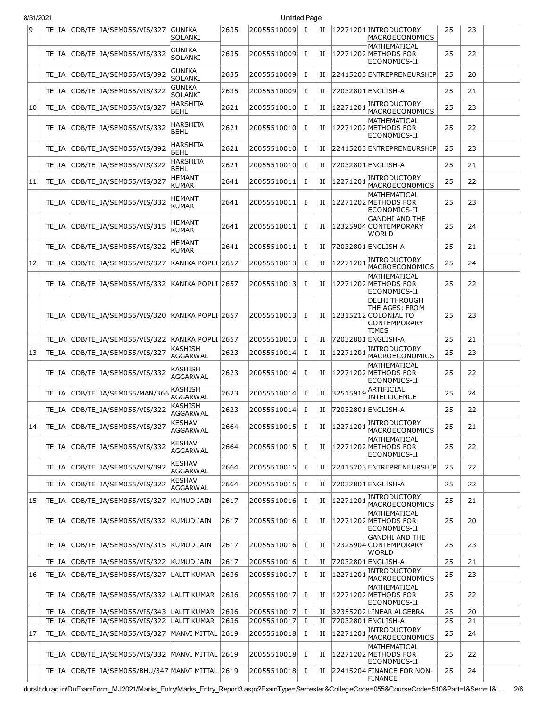| 8/31/2021 |       |                                            |                                   |      | Untitled Page |              |             |          |                                                                                                |    |    |  |
|-----------|-------|--------------------------------------------|-----------------------------------|------|---------------|--------------|-------------|----------|------------------------------------------------------------------------------------------------|----|----|--|
| ١q        |       | TE IA CDB/TE IA/SEM055/VIS/327             | GUNIKA<br><b>SOLANKI</b>          | 2635 | 20055510009 I |              | П           |          | 12271201 INTRODUCTORY<br>MACROECONOMICS                                                        | 25 | 23 |  |
|           | TE IA | CDB/TE_IA/SEM055/VIS/332                   | <b>GUNIKA</b><br><b>SOLANKI</b>   | 2635 | 20055510009   | <b>I</b>     | П           |          | MATHEMATICAL<br>12271202 METHODS FOR<br>ECONOMICS-II                                           | 25 | 22 |  |
|           | TE IA | CDB/TE_IA/SEM055/VIS/392                   | <b>GUNIKA</b><br><b>SOLANKI</b>   | 2635 | 20055510009   | Ι.           | П           |          | 22415203 ENTREPRENEURSHIP                                                                      | 25 | 20 |  |
|           | TE IA | CDB/TE_IA/SEM055/VIS/322                   | <b>GUNIKA</b><br>SOLANKI          | 2635 | 20055510009   | Ι.           | П           |          | 72032801 ENGLISH-A                                                                             | 25 | 21 |  |
| 10        | TE IA | CDB/TE_IA/SEM055/VIS/327                   | <b>HARSHITA</b><br><b>BEHL</b>    | 2621 | 20055510010   | <b>I</b>     | П           | 12271201 | <b>INTRODUCTORY</b><br>MACROECONOMICS                                                          | 25 | 23 |  |
|           | TE IA | CDB/TE_IA/SEM055/VIS/332                   | <b>HARSHITA</b><br><b>BEHL</b>    | 2621 | 20055510010   | Ι.           | П           |          | MATHEMATICAL<br>12271202 METHODS FOR<br>ECONOMICS-II                                           | 25 | 22 |  |
|           | TE IA | CDB/TE_IA/SEM055/VIS/392                   | <b>HARSHITA</b><br><b>BEHL</b>    | 2621 | 20055510010   | Ι.           | П           |          | 22415203 ENTREPRENEURSHIP                                                                      | 25 | 23 |  |
|           | TE IA | CDB/TE IA/SEM055/VIS/322                   | <b>HARSHITA</b><br><b>BEHL</b>    | 2621 | 20055510010   | <b>I</b>     | П           |          | 72032801 ENGLISH-A                                                                             | 25 | 21 |  |
| 11        | TE IA | CDB/TE_IA/SEM055/VIS/327                   | <b>HEMANT</b><br><b>KUMAR</b>     | 2641 | 20055510011   | Ι.           | П           | 12271201 | INTRODUCTORY<br>MACROECONOMICS                                                                 | 25 | 22 |  |
|           | TE IA | CDB/TE_IA/SEM055/VIS/332                   | <b>HEMANT</b><br><b>KUMAR</b>     | 2641 | 20055510011   | Ι            | П           |          | MATHEMATICAL<br>12271202 METHODS FOR<br>ECONOMICS-II                                           | 25 | 23 |  |
|           | TE IA | CDB/TE_IA/SEM055/VIS/315                   | <b>HEMANT</b><br><b>KUMAR</b>     | 2641 | 20055510011   | <b>I</b>     | П           |          | <b>GANDHI AND THE</b><br>12325904 CONTEMPORARY<br><b>WORLD</b>                                 | 25 | 24 |  |
|           | TE IA | CDB/TE_IA/SEM055/VIS/322                   | <b>HEMANT</b><br><b>KUMAR</b>     | 2641 | 20055510011   | Ι.           | П           |          | 72032801 ENGLISH-A                                                                             | 25 | 21 |  |
| 12        | TE IA | CDB/TE_IA/SEM055/VIS/327                   | KANIKA POPLI  2657                |      | 20055510013   | Ι.           | П           | 12271201 | <b>INTRODUCTORY</b><br>MACROECONOMICS                                                          | 25 | 24 |  |
|           | TE IA | CDB/TE_IA/SEM055/VIS/332                   | KANIKA POPLI  2657                |      | 20055510013   | <b>I</b>     | П           |          | MATHEMATICAL<br>12271202 METHODS FOR<br>ECONOMICS-II                                           | 25 | 22 |  |
|           | TE IA | CDB/TE_IA/SEM055/VIS/320                   | KANIKA POPLI 2657                 |      | 20055510013   | п.           | П           |          | <b>DELHI THROUGH</b><br>THE AGES: FROM<br>12315212 COLONIAL TO<br>CONTEMPORARY<br><b>TIMES</b> | 25 | 23 |  |
|           | TE IA | CDB/TE IA/SEM055/VIS/322                   | KANIKA POPLI 2657                 |      | 20055510013   | Ι.           | П           |          | 72032801 ENGLISH-A                                                                             | 25 | 21 |  |
| 13        | TE IA | CDB/TE_IA/SEM055/VIS/327                   | KASHISH<br>AGGARW AL              | 2623 | 20055510014   | Ι.           | П           | 12271201 | <b>INTRODUCTORY</b><br>MACROECONOMICS                                                          | 25 | 23 |  |
|           | TE IA | CDB/TE IA/SEM055/VIS/332                   | KASHISH<br><b>AGGARWAL</b>        | 2623 | 20055510014   | Ι            | П           |          | MATHEMATICAL<br>12271202 METHODS FOR<br>ECONOMICS-II                                           | 25 | 22 |  |
|           | TE IA | CDB/TE_IA/SEM055/MAN/366                   | KASHISH<br><b>AGGARWAL</b>        | 2623 | 20055510014   | <b>I</b>     | П           | 32515919 | ARTIFICIAL<br>INTELLIGENCE                                                                     | 25 | 24 |  |
|           | TE IA | CDB/TE_IA/SEM055/VIS/322                   | <b>KASHISH</b><br><b>AGGARWAL</b> | 2623 | 20055510014   | <b>I</b>     | П           |          | 72032801 ENGLISH-A                                                                             | 25 | 22 |  |
| 14        | TE IA | CDB/TE IA/SEM055/VIS/327                   | <b>KESHAV</b><br><b>AGGARWAL</b>  | 2664 | 20055510015   | <b>I</b>     | П           | 12271201 | <b>INTRODUCTORY</b><br>MACROECONOMICS                                                          | 25 | 21 |  |
|           | TE IA | CDB/TE_IA/SEM055/VIS/332                   | KESHAV<br><b>AGGARWAL</b>         | 2664 | 20055510015 I |              | П           |          | MATHEMATICAL<br>12271202 METHODS FOR<br>ECONOMICS-II                                           | 25 | 22 |  |
|           | TE IA | CDB/TE_IA/SEM055/VIS/392                   | <b>KESHAV</b><br><b>AGGARWAL</b>  | 2664 | 20055510015   | $\bf{I}$     | П           |          | 22415203 ENTREPRENEURSHIP                                                                      | 25 | 22 |  |
|           | TE IA | CDB/TE_IA/SEM055/VIS/322                   | <b>KESHAV</b><br><b>AGGARWAL</b>  | 2664 | 20055510015   | $\mathbf{I}$ | П           |          | 72032801 ENGLISH-A                                                                             | 25 | 22 |  |
| 15        | TE IA | CDB/TE IA/SEM055/VIS/327                   | KUMUD JAIN                        | 2617 | 20055510016   | $\mathbf{I}$ | П           | 12271201 | <b>INTRODUCTORY</b><br>MACROECONOMICS                                                          | 25 | 21 |  |
|           | TE IA | CDB/TE_IA/SEM055/VIS/332 KUMUD JAIN        |                                   | 2617 | 20055510016   | $\mathbf{I}$ | П           |          | MATHEMATICAL<br>12271202 METHODS FOR<br>ECONOMICS-II                                           | 25 | 20 |  |
|           | TE IA | CDB/TE_IA/SEM055/VIS/315 KUMUD JAIN        |                                   | 2617 | 20055510016   | $\mathbf I$  | П           |          | <b>GANDHI AND THE</b><br>12325904 CONTEMPORARY<br><b>WORLD</b>                                 | 25 | 23 |  |
|           | TE IA | CDB/TE_IA/SEM055/VIS/322 KUMUD JAIN        |                                   | 2617 | 20055510016   | $\bf{I}$     | П           |          | 72032801 ENGLISH-A                                                                             | 25 | 21 |  |
| 16        | TE_IA | CDB/TE_IA/SEM055/VIS/327                   | LALIT KUMAR                       | 2636 | 20055510017   | $\mathbf{I}$ | П           | 12271201 | <b>INTRODUCTORY</b><br>MACROECONOMICS                                                          | 25 | 23 |  |
|           | TE IA | CDB/TE_IA/SEM055/VIS/332 LALIT KUMAR       |                                   | 2636 | 20055510017   | $\mathbf{I}$ | П           |          | MATHEMATICAL<br>12271202 METHODS FOR<br>ECONOMICS-II                                           | 25 | 22 |  |
|           |       | TE_IA CDB/TE_IA/SEM055/VIS/343 LALIT KUMAR |                                   | 2636 | 20055510017   | Ι            | П           |          | 32355202 LINEAR ALGEBRA                                                                        | 25 | 20 |  |
|           | TE IA | CDB/TE_IA/SEM055/VIS/322 LALIT KUMAR       |                                   | 2636 | 20055510017   | $\bf{I}$     | $_{\rm II}$ |          | 72032801 ENGLISH-A                                                                             | 25 | 21 |  |
| 17        | TE_IA | CDB/TE_IA/SEM055/VIS/327                   | MANVI MITTAL 2619                 |      | 20055510018   | $\mathbf{I}$ | П           | 12271201 | <b>INTRODUCTORY</b><br>MACROECONOMICS<br>MATHEMATICAL                                          | 25 | 24 |  |
|           | TE IA | CDB/TE_IA/SEM055/VIS/332 MANVI MITTAL 2619 |                                   |      | 20055510018   | $\mathbf I$  | П           |          | 12271202 METHODS FOR<br>ECONOMICS-II                                                           | 25 | 22 |  |
|           | TE IA | CDB/TE_IA/SEM055/BHU/347 MANVI MITTAL 2619 |                                   |      | 20055510018   | $\mathbf{I}$ | П           |          | 22415204 FINANCE FOR NON-<br><b>FINANCE</b>                                                    | 25 | 24 |  |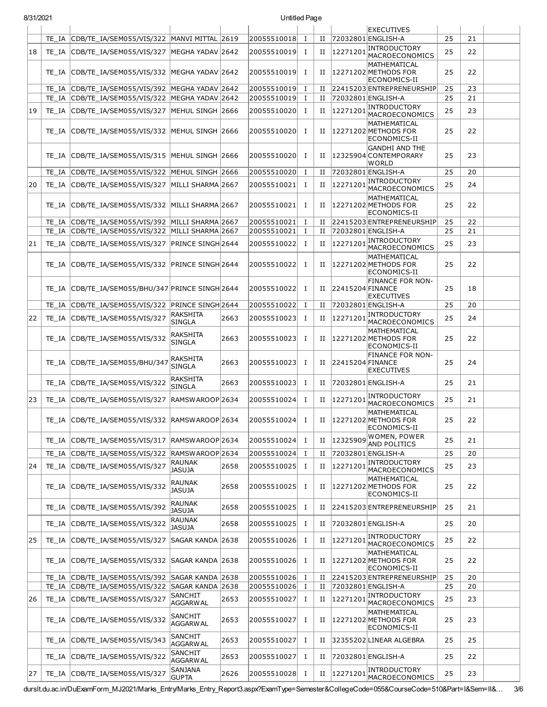| 8/31/2021 |       |                                                  | Untitled Page                    |      |                            |             |             |                  |                                                                        |    |    |  |
|-----------|-------|--------------------------------------------------|----------------------------------|------|----------------------------|-------------|-------------|------------------|------------------------------------------------------------------------|----|----|--|
|           |       |                                                  |                                  |      |                            |             |             |                  | <b>EXECUTIVES</b>                                                      |    |    |  |
|           | TE IA | CDB/TE IA/SEM055/VIS/322 MANVI MITTAL 2619       |                                  |      | 20055510018                | $\mathbf I$ | $_{\rm II}$ |                  | 72032801 ENGLISH-A<br><b>INTRODUCTORY</b>                              | 25 | 21 |  |
| 18        | TE IA | CDB/TE_IA/SEM055/VIS/327 MEGHA YADAV 2642        |                                  |      | 20055510019                | $\bf{I}$    | $_{\rm II}$ | 12271201         | MACROECONOMICS<br>MATHEMATICAL                                         | 25 | 22 |  |
|           | TE IA | CDB/TE IA/SEM055/VIS/332                         | MEGHA YADAV  2642                |      | 20055510019                | Ι.          | П           |                  | 12271202 METHODS FOR<br>ECONOMICS-II                                   | 25 | 22 |  |
|           | TE IA | CDB/TE_IA/SEM055/VIS/392                         | MEGHA YADAV 2642                 |      | 20055510019                | Ι           | П           |                  | 22415203 ENTREPRENEURSHIP                                              | 25 | 23 |  |
|           | TE IA | CDB/TE_IA/SEM055/VIS/322                         | MEGHA YADAV 2642                 |      | 20055510019                | $\bf{I}$    | $_{\rm II}$ |                  | 72032801 ENGLISH-A                                                     | 25 | 21 |  |
| 19        | TE IA | CDB/TE_IA/SEM055/VIS/327                         | MEHUL SINGH 2666                 |      | 20055510020                | Ι.          | $_{\rm II}$ | 12271201         | <b>INTRODUCTORY</b><br>MACROECONOMICS                                  | 25 | 23 |  |
|           | TE IA | CDB/TE IA/SEM055/VIS/332 MEHUL SINGH 2666        |                                  |      | 20055510020                | Ι.          | П           |                  | MATHEMATICAL<br>12271202 METHODS FOR<br>ECONOMICS-II                   | 25 | 22 |  |
|           | TE IA | CDB/TE_IA/SEM055/VIS/315                         | MEHUL SINGH 2666                 |      | 20055510020                | Ι.          | П           |                  | <b>GANDHI AND THE</b><br>12325904 CONTEMPORARY<br><b>WORLD</b>         | 25 | 23 |  |
|           | TE IA | CDB/TE_IA/SEM055/VIS/322                         | MEHUL SINGH 2666                 |      | 20055510020                | Ι           | П           |                  | 72032801 ENGLISH-A                                                     | 25 | 20 |  |
| 20        | TE IA | CDB/TE_IA/SEM055/VIS/327                         | MILLI SHARMA 2667                |      | 20055510021                | Ι.          | П           | 12271201         | <b>INTRODUCTORY</b>                                                    | 25 | 24 |  |
|           | TE IA | CDB/TE_IA/SEM055/VIS/332                         | MILLI SHARMA 2667                |      | 20055510021                | Ι.          | П           |                  | MACROECONOMICS<br>MATHEMATICAL<br>12271202 METHODS FOR                 | 25 | 22 |  |
|           |       |                                                  |                                  |      |                            |             |             |                  | ECONOMICS-II                                                           |    |    |  |
|           | TE IA | CDB/TE_IA/SEM055/VIS/392                         | MILLI SHARMA 2667                |      | 20055510021<br>20055510021 | $\bf{I}$    | П           |                  | 22415203 ENTREPRENEURSHIP                                              | 25 | 22 |  |
|           |       | TE IA CDB/TE IA/SEM055/VIS/322 MILLI SHARMA 2667 |                                  |      |                            | Ι.          | $_{\rm II}$ |                  | 72032801 ENGLISH-A<br>INTRODUCTORY                                     | 25 | 21 |  |
| 21        | TE IA | CDB/TE_IA/SEM055/VIS/327                         | PRINCE SINGH 2644                |      | 20055510022                | Ι.          | П           | 12271201         | MACROECONOMICS<br>MATHEMATICAL                                         | 25 | 23 |  |
|           | TE IA | CDB/TE_IA/SEM055/VIS/332                         | PRINCE SINGH 2644                |      | 20055510022                | Ι.          | П           |                  | 12271202 METHODS FOR<br>ECONOMICS-II                                   | 25 | 22 |  |
|           | TE IA | CDB/TE IA/SEM055/BHU/347 PRINCE SINGH 2644       |                                  |      | 20055510022                | Ι.          | П           | 22415204 FINANCE | <b>FINANCE FOR NON-</b><br><b>EXECUTIVES</b>                           | 25 | 18 |  |
|           | TE IA | CDB/TE_IA/SEM055/VIS/322                         | PRINCE SINGH 2644                |      | 20055510022                | $\bf{I}$    | П           |                  | 72032801 ENGLISH-A                                                     | 25 | 20 |  |
| 22        | TE IA | CDB/TE_IA/SEM055/VIS/327                         | RAKSHITA<br><b>SINGLA</b>        | 2663 | 20055510023                | Ι.          | П           | 12271201         | INTRODUCTORY<br>MACROECONOMICS                                         | 25 | 24 |  |
|           | TE IA | CDB/TE_IA/SEM055/VIS/332                         | RAKSHITA<br><b>SINGLA</b>        | 2663 | 20055510023                | $\bf{I}$    | П           |                  | <b>MATHEMATICAL</b><br>12271202 METHODS FOR                            | 25 | 22 |  |
|           | TE IA | CDB/TE_IA/SEM055/BHU/347                         | RAKSHITA<br><b>SINGLA</b>        | 2663 | 20055510023                | $\bf{I}$    | П           | 22415204 FINANCE | ECONOMICS-II<br><b>FINANCE FOR NON-</b>                                | 25 | 24 |  |
|           | TE IA | CDB/TE_IA/SEM055/VIS/322                         | RAKSHITA                         | 2663 | 20055510023                | Ι.          | П           |                  | <b>EXECUTIVES</b><br>72032801 ENGLISH-A                                | 25 | 21 |  |
| 23        | TE_IA | CDB/TE IA/SEM055/VIS/327                         | <b>SINGLA</b><br>RAMSWAROOP 2634 |      | 20055510024                | Ι.          | П           | 12271201         | <b>INTRODUCTORY</b>                                                    | 25 | 21 |  |
|           |       | TE_IA CDB/TE_IA/SEM055/VIS/332 RAMSWAROOP 2634   |                                  |      | 20055510024                | Ι.          | П           |                  | MACROECONOMICS<br>MATHEMATICAL<br>12271202 METHODS FOR<br>ECONOMICS-II | 25 | 22 |  |
|           | TE IA | CDB/TE IA/SEM055/VIS/317                         | RAMSWAROOP 2634                  |      | 20055510024                | Ι.          | П           | 12325909         | WOMEN, POWER<br><b>AND POLITICS</b>                                    | 25 | 21 |  |
|           | TE IA | CDB/TE_IA/SEM055/VIS/322 RAMSWAROOP 2634         |                                  |      | 20055510024                | Ι.          | П           |                  | 72032801 ENGLISH-A                                                     | 25 | 20 |  |
| 24        | TE_IA | CDB/TE_IA/SEM055/VIS/327                         | <b>RAUNAK</b><br><b>JASUJA</b>   | 2658 | 20055510025                | Ι.          | П           | 12271201         | <b>INTRODUCTORY</b><br>MACROECONOMICS                                  | 25 | 23 |  |
|           | TE IA | CDB/TE_IA/SEM055/VIS/332                         | RAUNAK<br><b>JASUJA</b>          | 2658 | 20055510025                | Ι.          | П           |                  | MATHEMATICAL<br>12271202 METHODS FOR<br>ECONOMICS-II                   | 25 | 22 |  |
|           | TE IA | CDB/TE_IA/SEM055/VIS/392                         | RAUNAK<br><b>JASUJA</b>          | 2658 | 20055510025                | Ι.          | $_{\rm II}$ |                  | 22415203 ENTREPRENEURSHIP                                              | 25 | 21 |  |
|           | TE IA | CDB/TE_IA/SEM055/VIS/322                         | <b>RAUNAK</b><br><b>JASUJA</b>   | 2658 | 20055510025                | Ι.          | П           |                  | 72032801 ENGLISH-A                                                     | 25 | 20 |  |
| 25        | TE IA | CDB/TE_IA/SEM055/VIS/327                         | SAGAR KANDA 2638                 |      | 20055510026                | Ι.          | П           | 12271201         | <b>INTRODUCTORY</b><br>MACROECONOMICS                                  | 25 | 22 |  |
|           | TE IA | CDB/TE_IA/SEM055/VIS/332 SAGAR KANDA 2638        |                                  |      | 20055510026                | $\bf{I}$    | Н.          |                  | MATHEMATICAL<br>12271202 METHODS FOR<br>ECONOMICS-II                   | 25 | 22 |  |
|           | TE IA | CDB/TE_IA/SEM055/VIS/392                         | SAGAR KANDA 2638                 |      | 20055510026                | Ι           | П           |                  | 22415203 ENTREPRENEURSHIP                                              | 25 | 20 |  |
|           | TE IA | CDB/TE_IA/SEM055/VIS/322                         | SAGAR KANDA 2638                 |      | 20055510026                | Ι           | П           |                  | 72032801 ENGLISH-A                                                     | 25 | 20 |  |
| 26        | TE IA | CDB/TE_IA/SEM055/VIS/327                         | SANCHIT<br><b>AGGARWAL</b>       | 2653 | 20055510027                | <b>I</b>    | П           | 12271201         | <b>INTRODUCTORY</b><br>MACROECONOMICS                                  | 25 | 23 |  |
|           | TE IA | CDB/TE_IA/SEM055/VIS/332                         | SANCHIT<br><b>AGGARWAL</b>       | 2653 | 20055510027                | Ι.          | П           |                  | MATHEMATICAL<br>12271202 METHODS FOR<br>ECONOMICS-II                   | 25 | 23 |  |
|           | TE IA | CDB/TE_IA/SEM055/VIS/343                         | SANCHIT<br><b>AGGARWAL</b>       | 2653 | 20055510027                | Ι.          | П           |                  | 32355202 LINEAR ALGEBRA                                                | 25 | 25 |  |
|           | TE_IA | CDB/TE_IA/SEM055/VIS/322                         | SANCHIT<br><b>AGGARWAL</b>       | 2653 | 20055510027                | Ι.          | П           |                  | 72032801 ENGLISH-A                                                     | 25 | 22 |  |
| 27        | TE_IA | CDB/TE_IA/SEM055/VIS/327                         | SANJANA<br><b>GUPTA</b>          | 2626 | 20055510028                | $\bf{I}$    | H           | 12271201         | <b>INTRODUCTORY</b><br>MACROECONOMICS                                  | 25 | 23 |  |

durslt.du.ac.in/DuExamForm\_MJ2021/Marks\_Entry/Marks\_Entry\_Report3.aspx?ExamType=Semester&CollegeCode=055&CourseCode=510&Part=I&Sem=II&… 3/6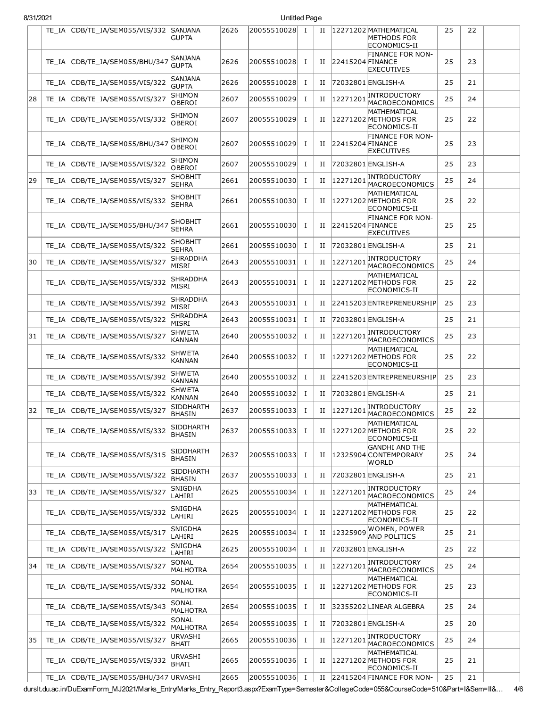## 8/31/2021 Untitled Page

|    | TE IA | CDB/TE_IA/SEM055/VIS/332               | <b>SANJANA</b><br>GUPTA           | 2626 | 20055510028 | Ι.       | н |                  | 12271202 MATHEMATICAL<br>METHODS FOR<br>ECONOMICS-II    | 25 | 22 |  |
|----|-------|----------------------------------------|-----------------------------------|------|-------------|----------|---|------------------|---------------------------------------------------------|----|----|--|
|    | TE IA | CDB/TE_IA/SEM055/BHU/347               | SANJANA<br><b>GUPTA</b>           | 2626 | 20055510028 | Ι.       | П | 22415204 FINANCE | <b>FINANCE FOR NON-</b><br><b>EXECUTIVES</b>            | 25 | 23 |  |
|    | TE IA | CDB/TE IA/SEM055/VIS/322               | SANJANA<br><b>GUPTA</b>           | 2626 | 20055510028 | Ι.       | П |                  | 72032801 ENGLISH-A                                      | 25 | 21 |  |
| 28 | TE IA | CDB/TE IA/SEM055/VIS/327               | SHIMON<br>OBEROI                  | 2607 | 20055510029 | Ι.       | П | 12271201         | <b>INTRODUCTORY</b><br>MACROECONOMICS                   | 25 | 24 |  |
|    | TE IA | CDB/TE_IA/SEM055/VIS/332               | SHIMON<br>OBEROI                  | 2607 | 20055510029 | Ι.       | П |                  | MATHEMATICAL<br>12271202 METHODS FOR<br>ECONOMICS-II    | 25 | 22 |  |
|    | TE IA | CDB/TE IA/SEM055/BHU/347               | SHIMON<br>OBEROI                  | 2607 | 20055510029 | Ι.       | П | 22415204 FINANCE | <b>FINANCE FOR NON-</b><br><b>EXECUTIVES</b>            | 25 | 23 |  |
|    | TE IA | CDB/TE_IA/SEM055/VIS/322               | SHIMON<br><b>OBEROI</b>           | 2607 | 20055510029 | Ι.       | П |                  | 72032801 ENGLISH-A                                      | 25 | 23 |  |
| 29 | TE IA | CDB/TE_IA/SEM055/VIS/327               | <b>SHOBHIT</b><br><b>SEHRA</b>    | 2661 | 20055510030 | Ι.       | П | 12271201         | <b>INTRODUCTORY</b><br>MACROECONOMICS                   | 25 | 24 |  |
|    | TE IA | CDB/TE_IA/SEM055/VIS/332               | SHOBHIT<br><b>SEHRA</b>           | 2661 | 20055510030 | Ι.       | П |                  | MATHEMATICAL<br>12271202 METHODS FOR<br>ECONOMICS-II    | 25 | 22 |  |
|    | TE IA | CDB/TE IA/SEM055/BHU/347               | <b>SHOBHIT</b><br>SEHRA           | 2661 | 20055510030 | Ι.       | П | 22415204 FINANCE | <b>FINANCE FOR NON-</b><br><b>EXECUTIVES</b>            | 25 | 25 |  |
|    | TE IA | CDB/TE_IA/SEM055/VIS/322               | SHOBHIT<br><b>SEHRA</b>           | 2661 | 20055510030 | $\bf{I}$ | П |                  | 72032801 ENGLISH-A                                      | 25 | 21 |  |
| 30 | TE IA | CDB/TE_IA/SEM055/VIS/327               | <b>SHRADDHA</b><br>MISRI          | 2643 | 20055510031 | Ι.       | П | 12271201         | <b>INTRODUCTORY</b><br>MACROECONOMICS                   | 25 | 24 |  |
|    | TE IA | CDB/TE IA/SEM055/VIS/332               | SHRADDHA<br><b>MISRI</b>          | 2643 | 20055510031 | Ι.       | П |                  | MATHEMATICAL<br>12271202 METHODS FOR<br>ECONOMICS-II    | 25 | 22 |  |
|    | TE IA | CDB/TE_IA/SEM055/VIS/392               | <b>SHRADDHA</b><br>MISRI          | 2643 | 20055510031 | Ι.       | п |                  | 22415203 ENTREPRENEURSHIP                               | 25 | 23 |  |
|    | TE IA | CDB/TE_IA/SEM055/VIS/322               | SHRADDHA<br><b>MISRI</b>          | 2643 | 20055510031 | Ι.       | П |                  | 72032801 ENGLISH-A                                      | 25 | 21 |  |
| 31 | TE IA | CDB/TE_IA/SEM055/VIS/327               | SHW ETA<br>KANNAN                 | 2640 | 20055510032 | Ι.       | П | 12271201         | <b>INTRODUCTORY</b><br>MACROECONOMICS                   | 25 | 23 |  |
|    | TE IA | CDB/TE_IA/SEM055/VIS/332               | <b>SHWETA</b><br>KANNAN           | 2640 | 20055510032 | <b>I</b> | п |                  | MATHEMATICAL<br>12271202 METHODS FOR<br>ECONOMICS-II    | 25 | 22 |  |
|    | TE IA | CDB/TE_IA/SEM055/VIS/392               | SHW ETA<br>KANNAN                 | 2640 | 20055510032 | Ι.       | П |                  | 22415203 ENTREPRENEURSHIP                               | 25 | 23 |  |
|    | TE IA | CDB/TE IA/SEM055/VIS/322               | <b>SHWETA</b><br><b>KANNAN</b>    | 2640 | 20055510032 | Ι.       | П |                  | 72032801 ENGLISH-A                                      | 25 | 21 |  |
| 32 | TE IA | CDB/TE_IA/SEM055/VIS/327               | <b>SIDDHARTH</b><br><b>BHASIN</b> | 2637 | 20055510033 | Ι.       | П | 12271201         | INTRODUCTORY<br>MACROECONOMICS                          | 25 | 22 |  |
|    | TE IA | CDB/TE_IA/SEM055/VIS/332               | <b>SIDDHARTH</b><br><b>BHASIN</b> | 2637 | 20055510033 | Ι.       | н |                  | MATHEMATICAL<br>12271202 METHODS FOR<br>ECONOMICS-II    | 25 | 22 |  |
|    | TE IA | CDB/TE_IA/SEM055/VIS/315               | SIDDHARTH<br><b>BHASIN</b>        | 2637 | 20055510033 | Ι.       | П |                  | <b>GANDHI AND THE</b><br>12325904 CONTEMPORARY<br>WORLD | 25 | 24 |  |
|    | TE IA | CDB/TE IA/SEM055/VIS/322               | SIDDHARTH<br><b>BHASIN</b>        | 2637 | 20055510033 | $\bf{I}$ | П |                  | 72032801 ENGLISH-A                                      | 25 | 21 |  |
| 33 | TE IA | CDB/TE_IA/SEM055/VIS/327               | SNIGDHA<br>LAHIRI                 | 2625 | 20055510034 | Ι.       | П | 12271201         | INTRODUCTORY<br>MACROECONOMICS                          | 25 | 24 |  |
|    | TE IA | CDB/TE_IA/SEM055/VIS/332               | SNIGDHA<br>LAHIRI                 | 2625 | 20055510034 | Ι.       | п |                  | MATHEMATICAL<br>12271202 METHODS FOR<br>ECONOMICS-II    | 25 | 22 |  |
|    | TE IA | CDB/TE IA/SEM055/VIS/317               | SNIGDHA<br>LAHIRI                 | 2625 | 20055510034 | Ι.       | H | 12325909         | WOMEN, POWER<br><b>AND POLITICS</b>                     | 25 | 21 |  |
|    | TE IA | CDB/TE_IA/SEM055/VIS/322               | SNIGDHA<br>LAHIRI                 | 2625 | 20055510034 | Ι.       | П |                  | 72032801 ENGLISH-A                                      | 25 | 22 |  |
| 34 | TE_IA | CDB/TE_IA/SEM055/VIS/327               | SONAL<br>MALHOTRA                 | 2654 | 20055510035 | Ι.       | П | 12271201         | <b>INTRODUCTORY</b><br>MACROECONOMICS                   | 25 | 24 |  |
|    | TE_IA | CDB/TE_IA/SEM055/VIS/332               | SONAL<br><b>MALHOTRA</b>          | 2654 | 20055510035 | Ι.       | П |                  | MATHEMATICAL<br>12271202 METHODS FOR<br>ECONOMICS-II    | 25 | 23 |  |
|    | TE IA | CDB/TE_IA/SEM055/VIS/343               | SONAL<br>MALHOTRA                 | 2654 | 20055510035 | Ι.       | П |                  | 32355202 LINEAR ALGEBRA                                 | 25 | 24 |  |
|    | TE_IA | CDB/TE_IA/SEM055/VIS/322               | SONAL<br>MALHOTRA                 | 2654 | 20055510035 | Ι.       | П |                  | 72032801 ENGLISH-A                                      | 25 | 20 |  |
| 35 | TE_IA | CDB/TE_IA/SEM055/VIS/327               | URVASHI<br>BHATI                  | 2665 | 20055510036 | Ι.       | П | 12271201         | <b>INTRODUCTORY</b><br>MACROECONOMICS                   | 25 | 24 |  |
|    |       | TE_IA CDB/TE_IA/SEM055/VIS/332         | URVASHI<br>BHATI                  | 2665 | 20055510036 | Ι.       | П |                  | MATHEMATICAL<br>12271202 METHODS FOR<br>ECONOMICS-II    | 25 | 21 |  |
|    |       | TE_IA CDB/TE_IA/SEM055/BHU/347 URVASHI |                                   | 2665 | 20055510036 | Ι.       | П |                  | 22415204 FINANCE FOR NON-                               | 25 | 21 |  |

durslt.du.ac.in/DuExamForm\_MJ2021/Marks\_Entry/Marks\_Entry\_Report3.aspx?ExamType=Semester&CollegeCode=055&CourseCode=510&Part=I&Sem=II&… 4/6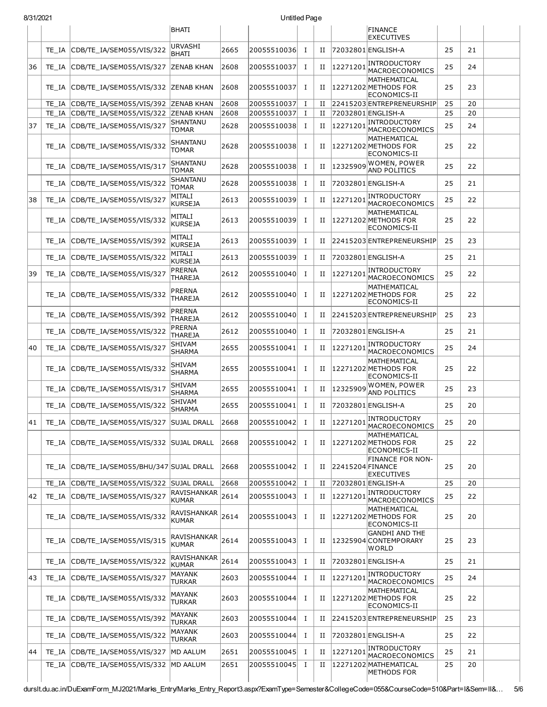## 8/31/2021 Untitled Page

| ו ∠ט∠וו טוכ |       |                                      |                                 |      | Onuucu rayc |          |             |                  |                                                         |    |    |  |
|-------------|-------|--------------------------------------|---------------------------------|------|-------------|----------|-------------|------------------|---------------------------------------------------------|----|----|--|
|             |       |                                      | <b>BHATI</b>                    |      |             |          |             |                  | <b>FINANCE</b><br><b>EXECUTIVES</b>                     |    |    |  |
|             | TE IA | CDB/TE IA/SEM055/VIS/322             | <b>URVASHI</b><br><b>BHATI</b>  | 2665 | 20055510036 | Ι.       | H           |                  | 72032801 ENGLISH-A                                      | 25 | 21 |  |
| 36          | TE IA | CDB/TE_IA/SEM055/VIS/327             | <b>ZENAB KHAN</b>               | 2608 | 20055510037 | $\bf{I}$ | П           | 12271201         | <b>INTRODUCTORY</b><br>MACROECONOMICS                   | 25 | 24 |  |
|             | TE IA | CDB/TE IA/SEM055/VIS/332 ZENAB KHAN  |                                 | 2608 | 20055510037 | Ι.       | П           |                  | MATHEMATICAL<br>12271202 METHODS FOR<br>ECONOMICS-II    | 25 | 23 |  |
|             | TE IA | CDB/TE_IA/SEM055/VIS/392             | <b>ZENAB KHAN</b>               | 2608 | 20055510037 | 1        | П           |                  | 22415203 ENTREPRENEURSHIP                               | 25 | 20 |  |
|             | TE IA | CDB/TE_IA/SEM055/VIS/322             | <b>ZENAB KHAN</b>               | 2608 | 20055510037 | $\bf{I}$ | П           |                  | 72032801 ENGLISH-A                                      | 25 | 20 |  |
| 37          | TE IA | CDB/TE IA/SEM055/VIS/327             | SHANTANU<br>TOMAR               | 2628 | 20055510038 | Ι.       | П           | 12271201         | <b>INTRODUCTORY</b><br>MACROECONOMICS                   | 25 | 24 |  |
|             | TE IA | CDB/TE IA/SEM055/VIS/332             | SHANTANU<br><b>TOMAR</b>        | 2628 | 20055510038 | Ι.       | П           |                  | MATHEMATICAL<br>12271202 METHODS FOR<br>ECONOMICS-II    | 25 | 22 |  |
|             | TE IA | CDB/TE_IA/SEM055/VIS/317             | SHANTANU<br>TOMAR               | 2628 | 20055510038 | Ι.       | П           | 12325909         | WOMEN, POWER<br><b>AND POLITICS</b>                     | 25 | 22 |  |
|             | TE IA | CDB/TE_IA/SEM055/VIS/322             | SHANTANU<br>TOMAR               | 2628 | 20055510038 | Ι.       | П           |                  | 72032801 ENGLISH-A                                      | 25 | 21 |  |
| 38          | TE IA | CDB/TE_IA/SEM055/VIS/327             | MITALI<br><b>KURSEJA</b>        | 2613 | 20055510039 | $\bf{I}$ | П           | 12271201         | <b>INTRODUCTORY</b><br>MACROECONOMICS                   | 25 | 22 |  |
|             | TE IA | CDB/TE_IA/SEM055/VIS/332             | MITALI<br><b>KURSEJA</b>        | 2613 | 20055510039 | Ι.       | П           |                  | MATHEMATICAL<br>12271202 METHODS FOR<br>ECONOMICS-II    | 25 | 22 |  |
|             | TE IA | CDB/TE IA/SEM055/VIS/392             | MITALI<br><b>KURSEJA</b>        | 2613 | 20055510039 | $\bf{I}$ | П           |                  | 22415203ENTREPRENEURSHIP                                | 25 | 23 |  |
|             | TE IA | CDB/TE IA/SEM055/VIS/322             | MITALI<br><b>KURSEJA</b>        | 2613 | 20055510039 | $\bf{I}$ | П           |                  | 72032801 ENGLISH-A                                      | 25 | 21 |  |
| 39          | TE IA | CDB/TE_IA/SEM055/VIS/327             | <b>PRERNA</b><br><b>THAREJA</b> | 2612 | 20055510040 | Ι.       | П           | 12271201         | <b>INTRODUCTORY</b><br>MACROECONOMICS                   | 25 | 22 |  |
|             | TE IA | CDB/TE_IA/SEM055/VIS/332             | PRERNA<br><b>THAREJA</b>        | 2612 | 20055510040 | $\bf{I}$ | П           |                  | MATHEMATICAL<br>12271202 METHODS FOR<br>ECONOMICS-II    | 25 | 22 |  |
|             | TE IA | CDB/TE IA/SEM055/VIS/392             | PRERNA<br><b>THAREJA</b>        | 2612 | 20055510040 | 1        | П           |                  | 22415203 ENTREPRENEURSHIP                               | 25 | 23 |  |
|             | TE IA | CDB/TE_IA/SEM055/VIS/322             | PRERNA<br><b>THAREJA</b>        | 2612 | 20055510040 | Ι.       | П           |                  | 72032801 ENGLISH-A                                      | 25 | 21 |  |
| 40          | TE IA | CDB/TE IA/SEM055/VIS/327             | SHIVAM<br><b>SHARMA</b>         | 2655 | 20055510041 | 1        | П           | 12271201         | <b>INTRODUCTORY</b><br>MACROECONOMICS                   | 25 | 24 |  |
|             | TE IA | CDB/TE_IA/SEM055/VIS/332             | <b>SHIVAM</b><br><b>SHARMA</b>  | 2655 | 20055510041 | Ι        | П           |                  | MATHEMATICAL<br>12271202 METHODS FOR<br>ECONOMICS-II    | 25 | 22 |  |
|             | TE IA | CDB/TE IA/SEM055/VIS/317             | SHIVAM<br><b>SHARMA</b>         | 2655 | 20055510041 | Ι.       | П           | 12325909         | WOMEN, POWER<br><b>AND POLITICS</b>                     | 25 | 23 |  |
|             | TE IA | CDB/TE IA/SEM055/VIS/322             | <b>SHIVAM</b><br><b>SHARMA</b>  | 2655 | 20055510041 | 1        | П           |                  | 72032801 ENGLISH-A                                      | 25 | 20 |  |
| 41          | TE IA | CDB/TE_IA/SEM055/VIS/327 SUJAL DRALL |                                 | 2668 | 20055510042 | $\bf{I}$ | $_{\rm II}$ | 12271201         | INTRODUCTORY<br>MACROECONOMICS                          | 25 | 20 |  |
|             | TE IA | CDB/TE IA/SEM055/VIS/332 SUJAL DRALL |                                 | 2668 | 20055510042 | Ι.       | П           |                  | MATHEMATICAL<br>12271202 METHODS FOR<br>ECONOMICS-II    | 25 | 22 |  |
|             | TE IA | CDB/TE_IA/SEM055/BHU/347 SUJAL DRALL |                                 | 2668 | 20055510042 | Ι.       | П           | 22415204 FINANCE | <b>FINANCE FOR NON-</b><br><b>EXECUTIVES</b>            | 25 | 20 |  |
|             | TE IA | CDB/TE_IA/SEM055/VIS/322             | <b>SUJAL DRALL</b>              | 2668 | 20055510042 | 1        | П           |                  | 72032801 ENGLISH-A                                      | 25 | 20 |  |
| 42          | TE IA | CDB/TE_IA/SEM055/VIS/327             | RAVISHANKAR<br><b>KUMAR</b>     | 2614 | 20055510043 | Ι.       | П           | 12271201         | <b>INTRODUCTORY</b><br>MACROECONOMICS                   | 25 | 22 |  |
|             | TE IA | CDB/TE IA/SEM055/VIS/332             | RAVISHANKAR<br><b>KUMAR</b>     | 2614 | 20055510043 | Ι.       | H           |                  | MATHEMATICAL<br>12271202 METHODS FOR<br>ECONOMICS-II    | 25 | 20 |  |
|             | TE IA | CDB/TE_IA/SEM055/VIS/315             | RAVISHANKAR<br><b>KUMAR</b>     | 2614 | 20055510043 | $\bf{I}$ | П           |                  | <b>GANDHI AND THE</b><br>12325904 CONTEMPORARY<br>WORLD | 25 | 23 |  |
|             | TE IA | CDB/TE_IA/SEM055/VIS/322             | RAVISHANKAR<br><b>KUMAR</b>     | 2614 | 20055510043 | Ι.       | П           |                  | 72032801 ENGLISH-A                                      | 25 | 21 |  |
| 43          | TE IA | CDB/TE_IA/SEM055/VIS/327             | MAYANK<br><b>TURKAR</b>         | 2603 | 20055510044 | $\bf{I}$ | П           | 12271201         | INTRODUCTORY<br>MACROECONOMICS                          | 25 | 24 |  |
|             | TE IA | CDB/TE_IA/SEM055/VIS/332             | MAYANK<br><b>TURKAR</b>         | 2603 | 20055510044 | $\bf{I}$ | H           |                  | MATHEMATICAL<br>12271202 METHODS FOR<br>ECONOMICS-II    | 25 | 22 |  |
|             | TE IA | CDB/TE_IA/SEM055/VIS/392             | MAYANK<br><b>TURKAR</b>         | 2603 | 20055510044 | Ι.       | П           |                  | 22415203 ENTREPRENEURSHIP                               | 25 | 23 |  |
|             | TE IA | CDB/TE_IA/SEM055/VIS/322             | MAYANK<br><b>TURKAR</b>         | 2603 | 20055510044 | Ι.       | П           |                  | 72032801 ENGLISH-A                                      | 25 | 22 |  |
| 44          | TE IA | CDB/TE_IA/SEM055/VIS/327             | MD AALUM                        | 2651 | 20055510045 | Ι.       | П           | 12271201         | INTRODUCTORY<br>MACROECONOMICS                          | 25 | 21 |  |
|             | TE_IA | CDB/TE_IA/SEM055/VIS/332             | MD AALUM                        | 2651 | 20055510045 | Ι.       | П           |                  | 12271202 MATHEMATICAL<br>METHODS FOR                    | 25 | 20 |  |